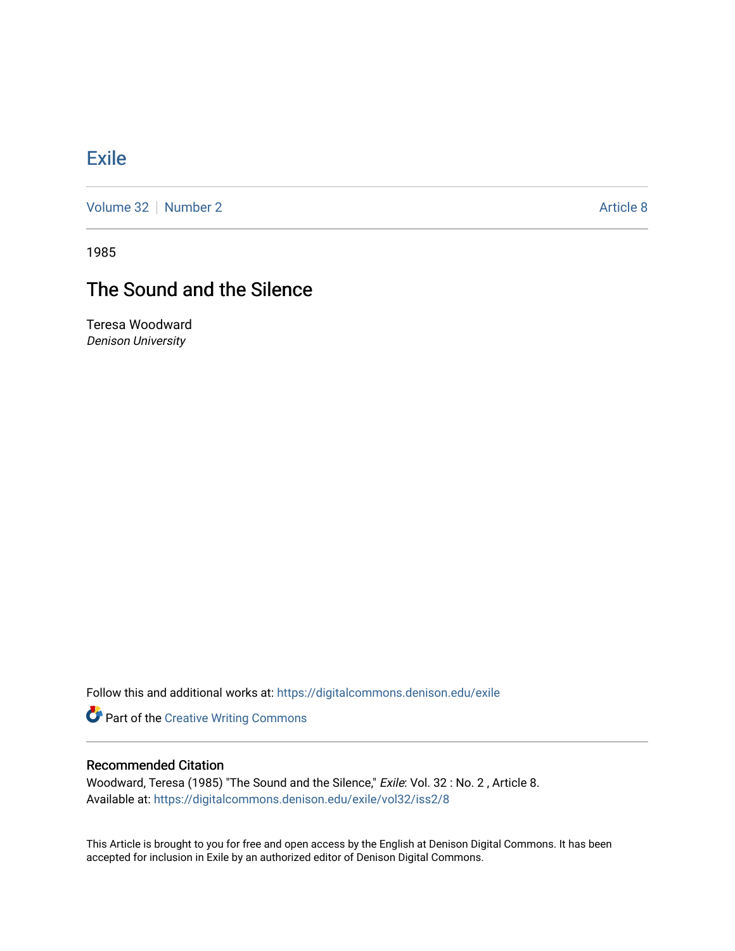## **[Exile](https://digitalcommons.denison.edu/exile)**

[Volume 32](https://digitalcommons.denison.edu/exile/vol32) [Number 2](https://digitalcommons.denison.edu/exile/vol32/iss2) Article 8

1985

## The Sound and the Silence

Teresa Woodward Denison University

Follow this and additional works at: [https://digitalcommons.denison.edu/exile](https://digitalcommons.denison.edu/exile?utm_source=digitalcommons.denison.edu%2Fexile%2Fvol32%2Fiss2%2F8&utm_medium=PDF&utm_campaign=PDFCoverPages) 

**Part of the Creative Writing Commons** 

## Recommended Citation

Woodward, Teresa (1985) "The Sound and the Silence," Exile: Vol. 32 : No. 2 , Article 8. Available at: [https://digitalcommons.denison.edu/exile/vol32/iss2/8](https://digitalcommons.denison.edu/exile/vol32/iss2/8?utm_source=digitalcommons.denison.edu%2Fexile%2Fvol32%2Fiss2%2F8&utm_medium=PDF&utm_campaign=PDFCoverPages) 

This Article is brought to you for free and open access by the English at Denison Digital Commons. It has been accepted for inclusion in Exile by an authorized editor of Denison Digital Commons.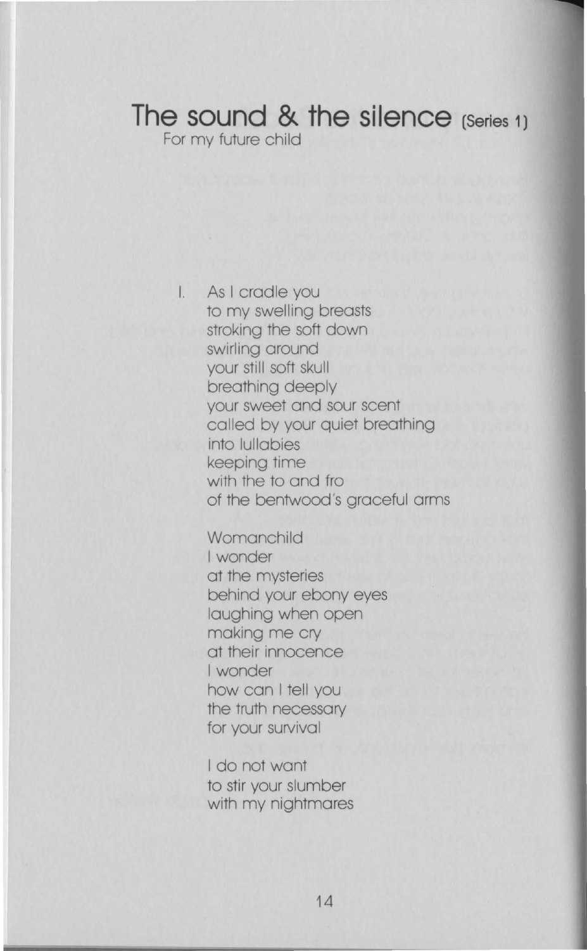## **The sound & the silence (Series 1)**

For my future child

I. As I cradle you to my swelling breasts stroking the soft down swirling around your still soft skull breathing deeply your sweet and sour scent called by your quiet breathing into lullabies keeping time with the to and fro of the bentwood's graceful arms

> **Womanchild** I wonder at the mysteries behind your ebony eyes laughing when open making me cry at their innocence I wonder how can I tell you the truth necessary for your survival

I do not want to stir your slumber with my nightmares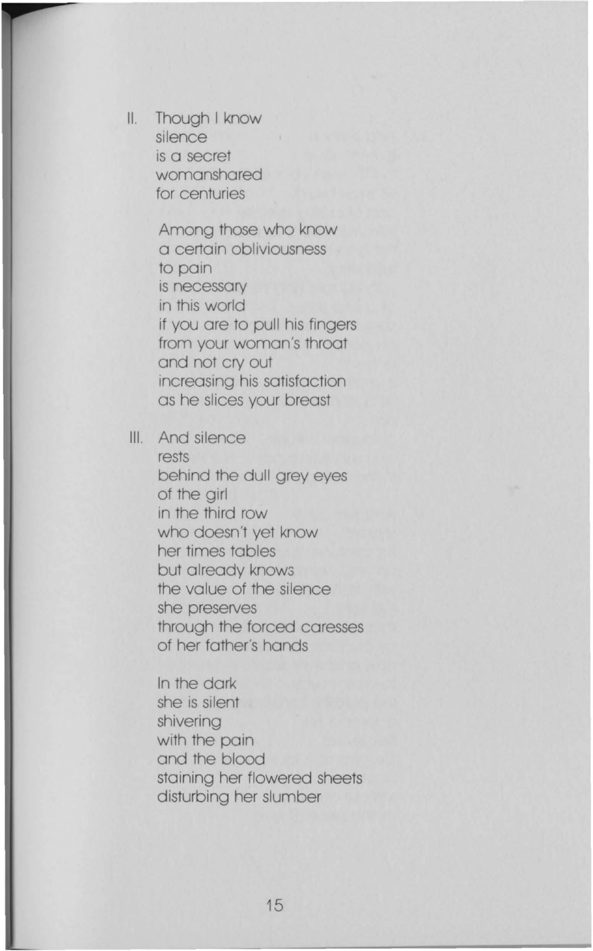II. Though I know silence is a secret womanshared for centuries

> Among those who know a certain obliviousness to pain is necessary in this world if you are to pull his fingers from your woman's throat and not cry out increasing his satisfaction as he slices your breast

III. And silence rests behind the dull grey eyes of the girl in the third row who doesn't yet know her times tables but already knows the value of the silence she preserves through the forced caresses of her father's hands

> In the dark she is silent shivering with the pain and the blood staining her flowered sheets disturbing her slumber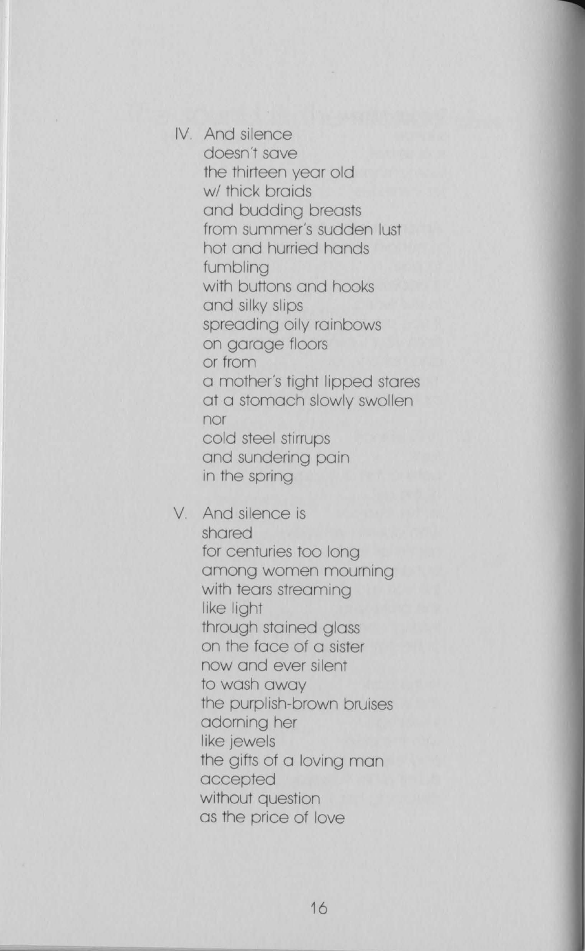IV. And silence doesn't save the thirteen year old w/ thick braids and budding breasts from summer's sudden lust hot and hurried hands fumbling with buttons and hooks and silky slips spreading oily rainbows on garage floors or from a mother's tight lipped stares at a stomach slowly swollen nor cold steel stirrups and sundering pain in the spring

V. And silence is

shared for centuries too long among women mourning with tears streaming like light through stained glass on the face of a sister now and ever silent to wash away the purplish-brown bruises adorning her like jewels the gifts of a loving man accepted without question as the price of love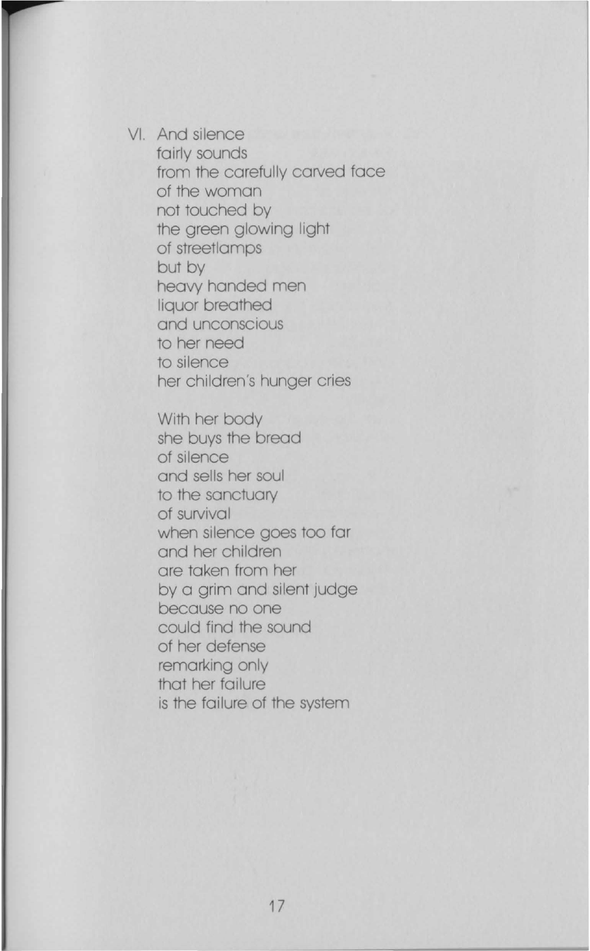VI. And silence fairly sounds from the carefully carved face of the woman not touched by the green glowing light of streetlamps but by heavy handed men liquor breathed and unconscious to her need to silence her children's hunger cries

> With her body she buys the bread of silence and sells her soul to the sanctuary of survival when silence goes too far and her children are taken from her by a grim and silent judge because no one could find the sound of her defense remarking only that her failure is the failure of the system